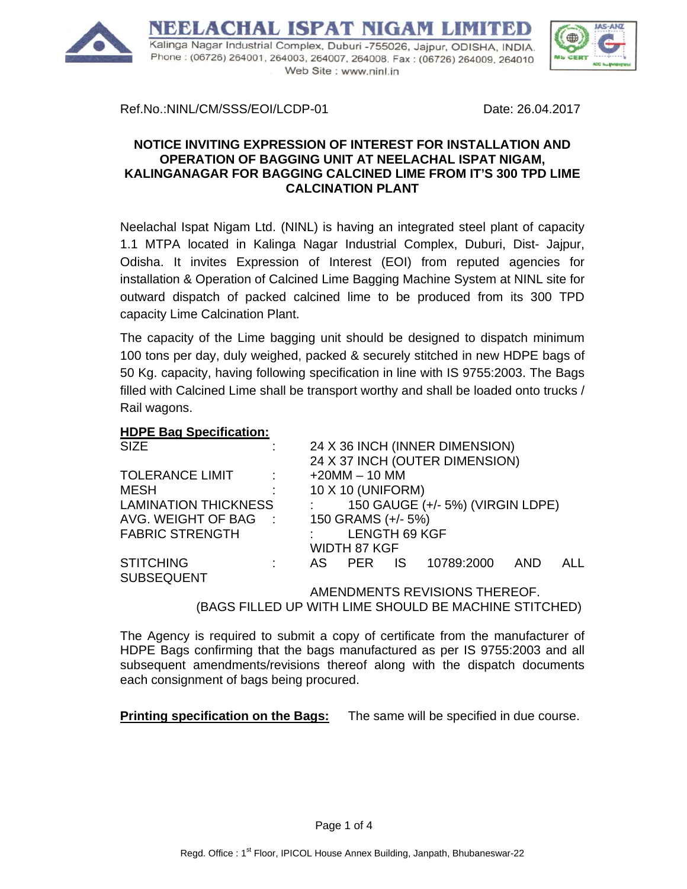BELACHAL ISPAT NIGAM LIMITED Kalinga Nagar Industrial Complex, Duburi -755026, Jajpur, ODISHA, INDIA. Phone: (06726) 264001, 264003, 264007, 264008, Fax: (06726) 264009, 264010 Web Site: www.ninl.in



Ref.No.:NINL/CM/SSS/EOI/LCDP-01 Date: 26.04.2017

#### **NOTICE INVITING EXPRESSION OF INTEREST FOR INSTALLATION AND OPERATION OF BAGGING UNIT AT NEELACHAL ISPAT NIGAM, KALINGANAGAR FOR BAGGING CALCINED LIME FROM IT'S 300 TPD LIME CALCINATION PLANT**

Neelachal Ispat Nigam Ltd. (NINL) is having an integrated steel plant of capacity 1.1 MTPA located in Kalinga Nagar Industrial Complex, Duburi, Dist- Jajpur, Odisha. It invites Expression of Interest (EOI) from reputed agencies for installation & Operation of Calcined Lime Bagging Machine System at NINL site for outward dispatch of packed calcined lime to be produced from its 300 TPD capacity Lime Calcination Plant.

The capacity of the Lime bagging unit should be designed to dispatch minimum 100 tons per day, duly weighed, packed & securely stitched in new HDPE bags of 50 Kg. capacity, having following specification in line with IS 9755:2003. The Bags filled with Calcined Lime shall be transport worthy and shall be loaded onto trucks / Rail wagons.

#### **HDPE Bag Specification:**

| <b>SIZE</b>                 |                        | 24 X 36 INCH (INNER DIMENSION)          |                                               |  |                      |     |     |  |
|-----------------------------|------------------------|-----------------------------------------|-----------------------------------------------|--|----------------------|-----|-----|--|
|                             |                        | 24 X 37 INCH (OUTER DIMENSION)          |                                               |  |                      |     |     |  |
| TOLERANCE LIMIT :           |                        | $+20MM - 10 MM$                         |                                               |  |                      |     |     |  |
| <b>MESH</b>                 | ÷                      | 10 X 10 (UNIFORM)                       |                                               |  |                      |     |     |  |
| <b>LAMINATION THICKNESS</b> |                        |                                         | $\therefore$ 150 GAUGE (+/- 5%) (VIRGIN LDPE) |  |                      |     |     |  |
|                             |                        | AVG. WEIGHT OF BAG : 150 GRAMS (+/- 5%) |                                               |  |                      |     |     |  |
| <b>FABRIC STRENGTH</b>      |                        |                                         | $\mathsf{LENGTH}$ 69 KGF                      |  |                      |     |     |  |
|                             |                        | <b>WIDTH 87 KGF</b>                     |                                               |  |                      |     |     |  |
| <b>STITCHING</b>            | $\sim 1000$ km $^{-1}$ |                                         |                                               |  | AS PER IS 10789:2000 | AND | ALL |  |
| <b>SUBSEQUENT</b>           |                        |                                         |                                               |  |                      |     |     |  |
|                             |                        |                                         |                                               |  |                      |     |     |  |

 AMENDMENTS REVISIONS THEREOF. (BAGS FILLED UP WITH LIME SHOULD BE MACHINE STITCHED)

The Agency is required to submit a copy of certificate from the manufacturer of HDPE Bags confirming that the bags manufactured as per IS 9755:2003 and all subsequent amendments/revisions thereof along with the dispatch documents each consignment of bags being procured.

**Printing specification on the Bags:** The same will be specified in due course.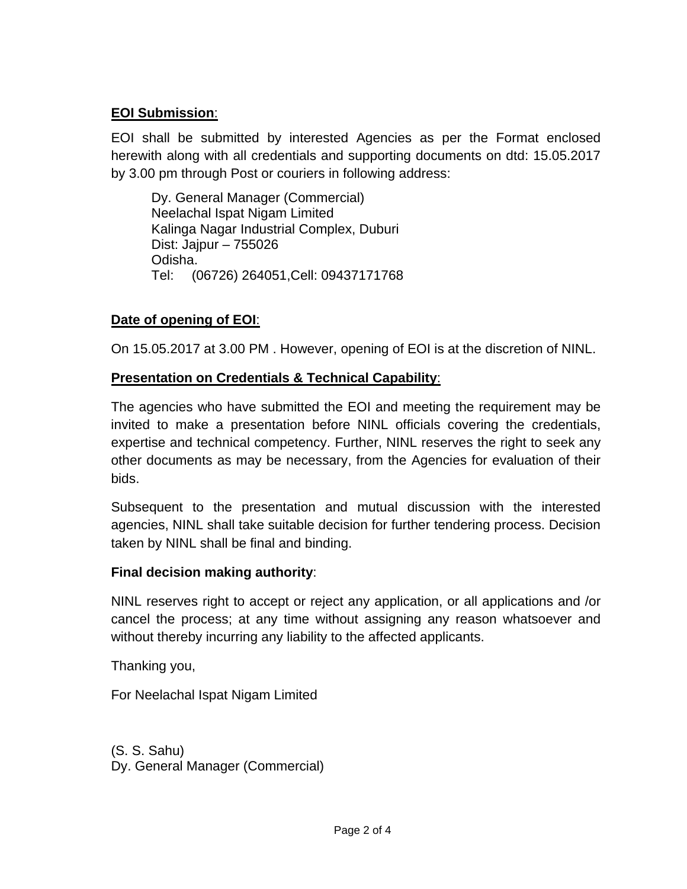# **EOI Submission**:

EOI shall be submitted by interested Agencies as per the Format enclosed herewith along with all credentials and supporting documents on dtd: 15.05.2017 by 3.00 pm through Post or couriers in following address:

 Dy. General Manager (Commercial) Neelachal Ispat Nigam Limited Kalinga Nagar Industrial Complex, Duburi Dist: Jajpur – 755026 Odisha. Tel: (06726) 264051,Cell: 09437171768

# **Date of opening of EOI**:

On 15.05.2017 at 3.00 PM . However, opening of EOI is at the discretion of NINL.

# **Presentation on Credentials & Technical Capability**:

The agencies who have submitted the EOI and meeting the requirement may be invited to make a presentation before NINL officials covering the credentials, expertise and technical competency. Further, NINL reserves the right to seek any other documents as may be necessary, from the Agencies for evaluation of their bids.

Subsequent to the presentation and mutual discussion with the interested agencies, NINL shall take suitable decision for further tendering process. Decision taken by NINL shall be final and binding.

#### **Final decision making authority**:

NINL reserves right to accept or reject any application, or all applications and /or cancel the process; at any time without assigning any reason whatsoever and without thereby incurring any liability to the affected applicants.

Thanking you,

For Neelachal Ispat Nigam Limited

(S. S. Sahu) Dy. General Manager (Commercial)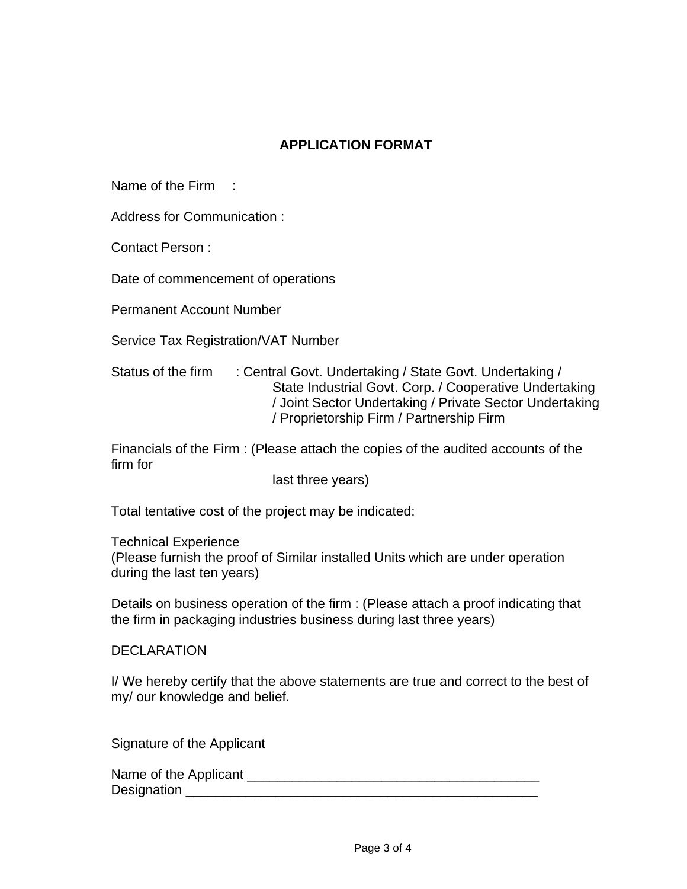### **APPLICATION FORMAT**

Name of the Firm :

Address for Communication :

Contact Person :

Date of commencement of operations

Permanent Account Number

Service Tax Registration/VAT Number

Status of the firm : Central Govt. Undertaking / State Govt. Undertaking / State Industrial Govt. Corp. / Cooperative Undertaking / Joint Sector Undertaking / Private Sector Undertaking / Proprietorship Firm / Partnership Firm

Financials of the Firm : (Please attach the copies of the audited accounts of the firm for

last three years)

Total tentative cost of the project may be indicated:

Technical Experience

(Please furnish the proof of Similar installed Units which are under operation during the last ten years)

Details on business operation of the firm : (Please attach a proof indicating that the firm in packaging industries business during last three years)

**DECLARATION** 

I/ We hereby certify that the above statements are true and correct to the best of my/ our knowledge and belief.

Signature of the Applicant

Name of the Applicant \_\_\_\_\_\_\_\_\_\_\_\_\_\_\_\_\_\_\_\_\_\_\_\_\_\_\_\_\_\_\_\_\_\_\_\_\_\_\_ Designation